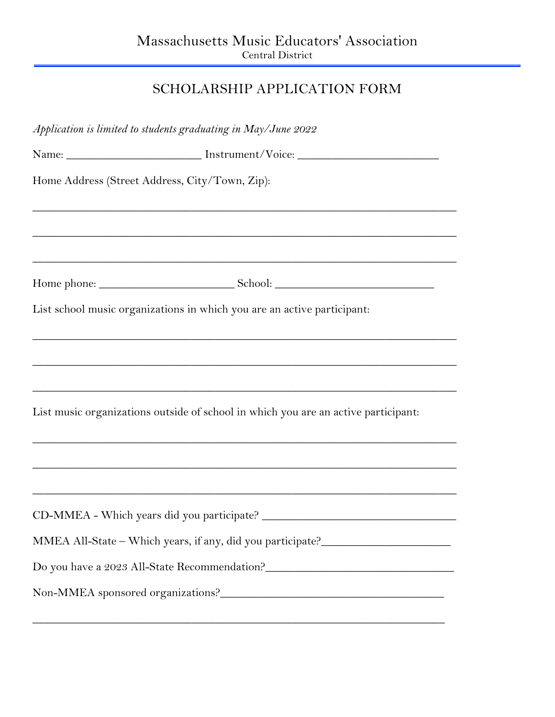## SCHOLARSHIP APPLICATION FORM

| Application is limited to students graduating in May/June 2022                                                                                          |
|---------------------------------------------------------------------------------------------------------------------------------------------------------|
| Name: ___________________________ Instrument/Voice: ____________________________                                                                        |
| Home Address (Street Address, City/Town, Zip):                                                                                                          |
|                                                                                                                                                         |
|                                                                                                                                                         |
| List school music organizations in which you are an active participant:                                                                                 |
|                                                                                                                                                         |
| <u> 1989 - Johann John Stone, mars and deutscher Stone (1989)</u><br>List music organizations outside of school in which you are an active participant: |
|                                                                                                                                                         |
| <u> 1989 - Johann John Stone, mars and deutscher Stone (1989)</u>                                                                                       |
|                                                                                                                                                         |
| MMEA All-State - Which years, if any, did you participate?______________________                                                                        |
| Do you have a 2023 All-State Recommendation?                                                                                                            |
| Non-MMEA sponsored organizations?                                                                                                                       |